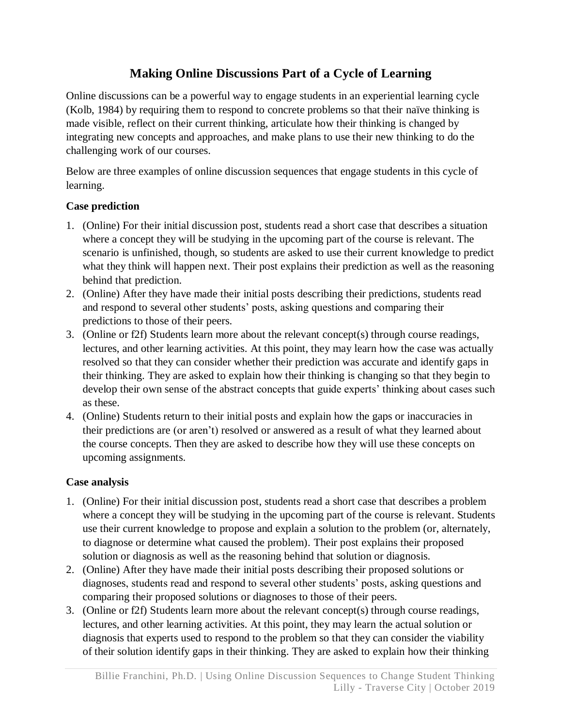# **Making Online Discussions Part of a Cycle of Learning**

Online discussions can be a powerful way to engage students in an experiential learning cycle (Kolb, 1984) by requiring them to respond to concrete problems so that their naïve thinking is made visible, reflect on their current thinking, articulate how their thinking is changed by integrating new concepts and approaches, and make plans to use their new thinking to do the challenging work of our courses.

Below are three examples of online discussion sequences that engage students in this cycle of learning.

## **Case prediction**

- 1. (Online) For their initial discussion post, students read a short case that describes a situation where a concept they will be studying in the upcoming part of the course is relevant. The scenario is unfinished, though, so students are asked to use their current knowledge to predict what they think will happen next. Their post explains their prediction as well as the reasoning behind that prediction.
- 2. (Online) After they have made their initial posts describing their predictions, students read and respond to several other students' posts, asking questions and comparing their predictions to those of their peers.
- 3. (Online or f2f) Students learn more about the relevant concept(s) through course readings, lectures, and other learning activities. At this point, they may learn how the case was actually resolved so that they can consider whether their prediction was accurate and identify gaps in their thinking. They are asked to explain how their thinking is changing so that they begin to develop their own sense of the abstract concepts that guide experts' thinking about cases such as these.
- 4. (Online) Students return to their initial posts and explain how the gaps or inaccuracies in their predictions are (or aren't) resolved or answered as a result of what they learned about the course concepts. Then they are asked to describe how they will use these concepts on upcoming assignments.

### **Case analysis**

- 1. (Online) For their initial discussion post, students read a short case that describes a problem where a concept they will be studying in the upcoming part of the course is relevant. Students use their current knowledge to propose and explain a solution to the problem (or, alternately, to diagnose or determine what caused the problem). Their post explains their proposed solution or diagnosis as well as the reasoning behind that solution or diagnosis.
- 2. (Online) After they have made their initial posts describing their proposed solutions or diagnoses, students read and respond to several other students' posts, asking questions and comparing their proposed solutions or diagnoses to those of their peers.
- 3. (Online or f2f) Students learn more about the relevant concept(s) through course readings, lectures, and other learning activities. At this point, they may learn the actual solution or diagnosis that experts used to respond to the problem so that they can consider the viability of their solution identify gaps in their thinking. They are asked to explain how their thinking